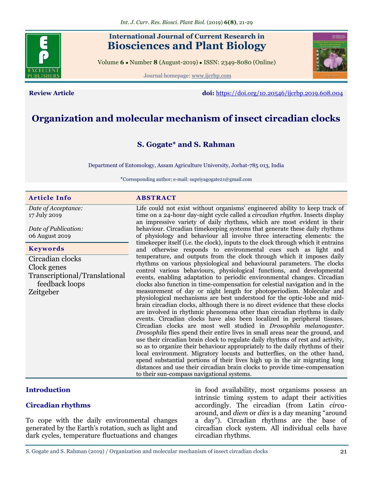# **International Journal of Current Research in Biosciences and Plant Biology**

Volume **6** ● Number **8** (August-2019) ● ISSN: 2349-8080 (Online)

Journal homepage: [www.ijcrbp.com](http://www.ijcrbp.com/)



**Review Article doi:** <https://doi.org/10.20546/ijcrbp.2019.608.004>

# **Organization and molecular mechanism of insect circadian clocks**

# **S. Gogate\* and S. Rahman**

Department of Entomology, Assam Agriculture University, Jorhat-785 013, India

\*Corresponding author; e-mail: supriyagogate21@gmail.com

#### **Article Info ABSTRACT**

*Date of Acceptance:* 17 July 2019

*Date of Publication:* 06 August 2019

#### **Keywords**

Circadian clocks Clock genes Transcriptional/Translational feedback loops Zeitgeber

Life could not exist without organisms' engineered ability to keep track of time on a 24-hour day-night cycle called a *circadian rhythm.* Insects display an impressive variety of daily rhythms, which are most evident in their behaviour. Circadian timekeeping systems that generate these daily rhythms of physiology and behaviour all involve three interacting elements: the timekeeper itself (i.e. the clock), inputs to the clock through which it entrains and otherwise responds to environmental cues such as light and temperature, and outputs from the clock through which it imposes daily rhythms on various physiological and behavioural parameters. The clocks control various behaviours, physiological functions, and developmental events, enabling adaptation to periodic environmental changes. Circadian clocks also function in time-compensation for celestial navigation and in the measurement of day or night length for photoperiodism. Molecular and physiological mechanisms are best understood for the optic-lobe and midbrain circadian clocks, although there is no direct evidence that these clocks are involved in rhythmic phenomena other than circadian rhythms in daily events. Circadian clocks have also been localized in peripheral tissues. Circadian clocks are most well studied in *Drosophila melanogaster. Drosophila* flies spend their entire lives in small areas near the ground, and use their circadian brain clock to regulate daily rhythms of rest and activity, so as to organize their behaviour appropriately to the daily rhythms of their local environment. Migratory locusts and butterflies, on the other hand, spend substantial portions of their lives high up in the air migrating long distances and use their circadian brain clocks to provide time-compensation to their sun-compass navigational systems.

### **Introduction**

### **Circadian rhythms**

To cope with the daily environmental changes generated by the Earth's rotation, such as light and dark cycles, temperature fluctuations and changes

in food availability, most organisms possess an intrinsic timing system to adapt their activities accordingly. The circadian (from Latin *circa*around, and *diem* or *dies* is a day meaning "around a day"). Circadian rhythms are the base of circadian clock system. All individual cells have circadian rhythms.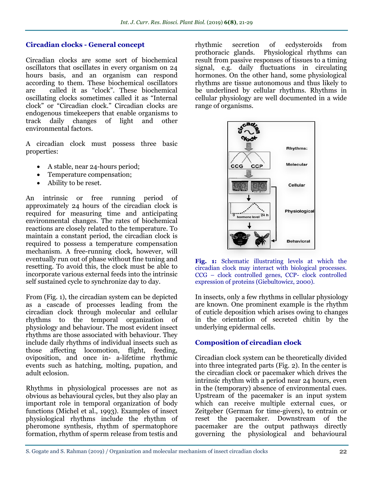# **Circadian clocks - General concept**

Circadian clocks are some sort of biochemical oscillators that oscillates in every organism on 24 hours basis, and an organism can respond according to them. These biochemical oscillators are called it as "clock". These biochemical oscillating clocks sometimes called it as "Internal clock" or "Circadian clock." Circadian clocks are endogenous timekeepers that enable organisms to track daily changes of light and other environmental factors.

A circadian clock must possess three basic properties:

- A stable, near 24-hours period;
- Temperature compensation;
- Ability to be reset.

An intrinsic or free running period of approximately 24 hours of the circadian clock is required for measuring time and anticipating environmental changes. The rates of biochemical reactions are closely related to the temperature. To maintain a constant period, the circadian clock is required to possess a temperature compensation mechanism. A free-running clock, however, will eventually run out of phase without fine tuning and resetting. To avoid this, the clock must be able to incorporate various external feeds into the intrinsic self sustained cycle to synchronize day to day.

From (Fig. 1), the circadian system can be depicted as a cascade of processes leading from the circadian clock through molecular and cellular rhythms to the temporal organization of physiology and behaviour. The most evident insect rhythms are those associated with behaviour. They include daily rhythms of individual insects such as those affecting locomotion, flight, feeding, oviposition, and once in- a-lifetime rhythmic events such as hatching, molting, pupation, and adult eclosion.

Rhythms in physiological processes are not as obvious as behavioural cycles, but they also play an important role in temporal organization of body functions (Michel et al., 1993). Examples of insect physiological rhythms include the rhythm of pheromone synthesis, rhythm of spermatophore formation, rhythm of sperm release from testis and rhythmic secretion of ecdysteroids from prothoracic glands. Physiological rhythms can result from passive responses of tissues to a timing signal, e.g. daily fluctuations in circulating hormones. On the other hand, some physiological rhythms are tissue autonomous and thus likely to be underlined by cellular rhythms. Rhythms in cellular physiology are well documented in a wide range of organisms.





In insects, only a few rhythms in cellular physiology are known. One prominent example is the rhythm of cuticle deposition which arises owing to changes in the orientation of secreted chitin by the underlying epidermal cells.

# **Composition of circadian clock**

Circadian clock system can be theoretically divided into three integrated parts (Fig. 2). In the center is the circadian clock or pacemaker which drives the intrinsic rhythm with a period near 24 hours, even in the (temporary) absence of environmental cues. Upstream of the pacemaker is an input system which can receive multiple external cues, or Zeitgeber (German for time-givers), to entrain or reset the pacemaker. Downstream of the pacemaker are the output pathways directly governing the physiological and behavioural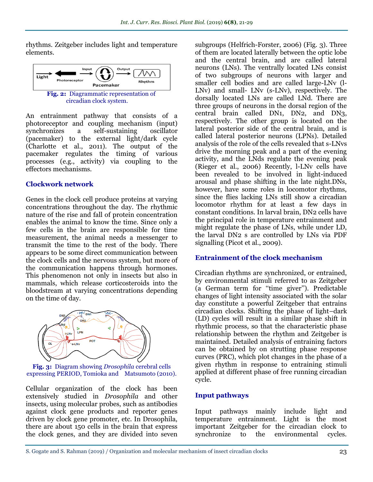rhythms. Zeitgeber includes light and temperature elements.



An entrainment pathway that consists of a photoreceptor and coupling mechanism (input) synchronizes a self-sustaining oscillator (pacemaker) to the external light/dark cycle (Charlotte et al., 2011). The output of the pacemaker regulates the timing of various processes (e.g., activity) via coupling to the effectors mechanisms.

# **Clockwork network**

Genes in the clock cell produce proteins at varying concentrations throughout the day. The rhythmic nature of the rise and fall of protein concentration enables the animal to know the time. Since only a few cells in the brain are responsible for time measurement, the animal needs a messenger to transmit the time to the rest of the body. There appears to be some direct communication between the clock cells and the nervous system, but more of the communication happens through hormones. This phenomenon not only in insects but also in mammals, which release corticosteroids into the bloodstream at varying concentrations depending on the time of day.



**Fig. 3:** Diagram showing *Drosophila* cerebral cells expressing PERIOD, Tomioka and Matsumoto (2010).

Cellular organization of the clock has been extensively studied in *Drosophila* and other insects, using molecular probes, such as antibodies against clock gene products and reporter genes driven by clock gene promoter, etc. In Drosophila, there are about 150 cells in the brain that express the clock genes, and they are divided into seven subgroups (Helfrich-Forster, 2006) (Fig. 3). Three of them are located laterally between the optic lobe and the central brain, and are called lateral neurons (LNs). The ventrally located LNs consist of two subgroups of neurons with larger and smaller cell bodies and are called large-LNv (l-LNv) and small- LNv (s-LNv), respectively. The dorsally located LNs are called LNd. There are three groups of neurons in the dorsal region of the central brain called DN1, DN2, and DN3, respectively. The other group is located on the lateral posterior side of the central brain, and is called lateral posterior neurons (LPNs). Detailed analysis of the role of the cells revealed that s-LNvs drive the morning peak and a part of the evening activity, and the LNds regulate the evening peak (Rieger et al., 2006) Recently, l-LNv cells have been revealed to be involved in light-induced arousal and phase shifting in the late night.DNs, however, have some roles in locomotor rhythms, since the flies lacking LNs still show a circadian locomotor rhythm for at least a few days in constant conditions. In larval brain, DN2 cells have the principal role in temperature entrainment and might regulate the phase of LNs, while under LD, the larval DN2 s are controlled by LNs via PDF signalling (Picot et al., 2009).

# **Entrainment of the clock mechanism**

Circadian rhythms are synchronized, or entrained, by environmental stimuli referred to as Zeitgeber (a German term for "time giver"). Predictable changes of light intensity associated with the solar day constitute a powerful Zeitgeber that entrains circadian clocks. Shifting the phase of light–dark (LD) cycles will result in a similar phase shift in rhythmic process, so that the characteristic phase relationship between the rhythm and Zeitgeber is maintained. Detailed analysis of entraining factors can be obtained by on strutting phase response curves (PRC), which plot changes in the phase of a given rhythm in response to entraining stimuli applied at different phase of free running circadian cycle.

# **Input pathways**

Input pathways mainly include light and temperature entrainment. Light is the most important Zeitgeber for the circadian clock to synchronize to the environmental cycles.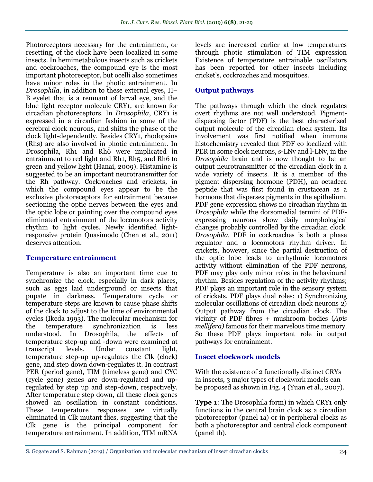Photoreceptors necessary for the entrainment, or resetting, of the clock have been localized in some insects. In hemimetabolous insects such as crickets and cockroaches, the compound eye is the most important photoreceptor, but ocelli also sometimes have minor roles in the photic entrainment. In *Drosophila*, in addition to these external eyes, H– B eyelet that is a remnant of larval eye, and the blue light receptor molecule CRY1, are known for circadian photoreceptors. In *Drosophila*, CRY1 is expressed in a circadian fashion in some of the cerebral clock neurons, and shifts the phase of the clock light-dependently. Besides CRY1, rhodopsins (Rhs) are also involved in photic entrainment. In Drosophila, Rh1 and Rh6 were implicated in entrainment to red light and Rh1, Rh5, and Rh6 to green and yellow light (Hanai, 2009). Histamine is suggested to be an important neurotransmitter for the Rh pathway. Cockroaches and crickets, in which the compound eyes appear to be the exclusive photoreceptors for entrainment because sectioning the optic nerves between the eyes and the optic lobe or painting over the compound eyes eliminated entrainment of the locomotors activity rhythm to light cycles. Newly identified lightresponsive protein Quasimodo (Chen et al., 2011) deserves attention.

# **Temperature entrainment**

Temperature is also an important time cue to synchronize the clock, especially in dark places, such as eggs laid underground or insects that pupate in darkness. Temperature cycle or temperature steps are known to cause phase shifts of the clock to adjust to the time of environmental cycles (Ikeda 1993). The molecular mechanism for the temperature synchronization is less understood. In Drosophila, the effects of temperature step-up and -down were examined at transcript levels. Under constant light, temperature step-up up-regulates the Clk (clock) gene, and step down down-regulates it. In contrast PER (period gene), TIM (timeless gene) and CYC (cycle gene) genes are down-regulated and upregulated by step up and step-down, respectively. After temperature step down, all these clock genes showed an oscillation in constant conditions. These temperature responses are virtually eliminated in Clk mutant flies, suggesting that the Clk gene is the principal component for temperature entrainment. In addition, TIM mRNA

levels are increased earlier at low temperatures through photic stimulation of TIM expression Existence of temperature entrainable oscillators has been reported for other insects including cricket's, cockroaches and mosquitoes.

# **Output pathways**

The pathways through which the clock regulates overt rhythms are not well understood. Pigmentdispersing factor (PDF) is the best characterized output molecule of the circadian clock system. Its involvement was first notified when immune histochemistry revealed that PDF co localized with PER in some clock neurons, s-LNv and l-LNv, in the *Drosophila* brain and is now thought to be an output neurotransmitter of the circadian clock in a wide variety of insects. It is a member of the pigment dispersing hormone (PDH), an octadeca peptide that was first found in crustacean as a hormone that disperses pigments in the epithelium. PDF gene expression shows no circadian rhythm in *Drosophila* while the dorsomedial termini of PDFexpressing neurons show daily morphological changes probably controlled by the circadian clock. *Drosophila,* PDF in cockroaches is both a phase regulator and a locomotors rhythm driver. In crickets, however, since the partial destruction of the optic lobe leads to arrhythmic locomotors activity without elimination of the PDF neurons, PDF may play only minor roles in the behavioural rhythm. Besides regulation of the activity rhythms; PDF plays an important role in the sensory system of crickets. PDF plays dual roles: 1) Synchronizing molecular oscillations of circadian clock neurons 2) Output pathway from the circadian clock. The vicinity of PDF fibres + mushroom bodies (*Apis mellifera)* famous for their marvelous time memory. So these PDF plays important role in output pathways for entrainment.

# **Insect clockwork models**

With the existence of 2 functionally distinct CRYs in insects, 3 major types of clockwork models can be proposed as shown in Fig. 4 (Yuan et al., 2007).

**Type 1:** The Drosophila form) in which CRY1 only functions in the central brain clock as a circadian photoreceptor (panel 1a) or in peripheral clocks as both a photoreceptor and central clock component (panel 1b).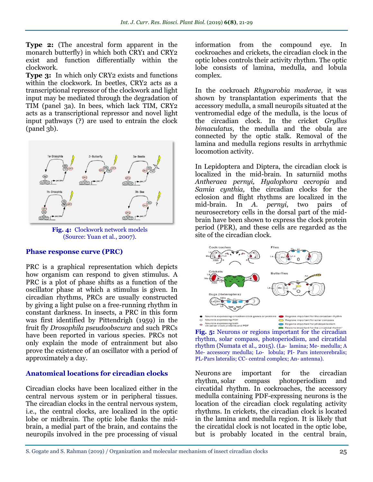**Type 2:** (The ancestral form apparent in the monarch butterfly) in which both CRY1 and CRY2 exist and function differentially within the clockwork.

**Type 3:** In which only CRY2 exists and functions within the clockwork. In beetles, CRY2 acts as a transcriptional repressor of the clockwork and light input may be mediated through the degradation of TIM (panel 3a). In bees, which lack TIM, CRY2 acts as a transcriptional repressor and novel light input pathways (?) are used to entrain the clock  $(panel 3b)$ .



**Fig. 4:** Clockwork network models (Source: Yuan et al., 2007).

### **Phase response curve (PRC)**

PRC is a graphical representation which depicts how organism can respond to given stimulus. A PRC is a plot of phase shifts as a function of the oscillator phase at which a stimulus is given. In circadian rhythms, PRCs are usually constructed by giving a light pulse on a free-running rhythm in constant darkness. In insects, a PRC in this form was first identified by Pittendrigh (1959) in the fruit fly *Drosophila pseudoobscura* and such PRCs have been reported in various species. PRCs not only explain the mode of entrainment but also prove the existence of an oscillator with a period of approximately a day.

### **Anatomical locations for circadian clocks**

Circadian clocks have been localized either in the central nervous system or in peripheral tissues. The circadian clocks in the central nervous system, i.e., the central clocks, are localized in the optic lobe or midbrain. The optic lobe flanks the midbrain, a medial part of the brain, and contains the neuropils involved in the pre processing of visual

information from the compound eye. In cockroaches and crickets, the circadian clock in the optic lobes controls their activity rhythm. The optic lobe consists of lamina, medulla, and lobula complex.

In the cockroach *Rhyparobia maderae,* it was shown by transplantation experiments that the accessory medulla, a small neuropils situated at the ventromedial edge of the medulla, is the locus of the circadian clock. In the cricket *Gryllus bimaculatus*, the medulla and the obula are connected by the optic stalk. Removal of the lamina and medulla regions results in arrhythmic locomotion activity.

In Lepidoptera and Diptera, the circadian clock is localized in the mid-brain. In saturniid moths *Antheraea pernyi, Hyalophora cecropia* and *Samia cynthia,* the circadian clocks for the eclosion and flight rhythms are localized in the mid-brain. In *A. pernyi*, two pairs of neurosecretory cells in the dorsal part of the midbrain have been shown to express the clock protein period (PER), and these cells are regarded as the site of the circadian clock.



**Fig. 5:** Neurons or regions important for the circadial mythm' rhythm, solar compass, photoperiodism, and circatidal rhythm (Numata et al*.,* 2015). (La- lamina; Me- medulla; A Me- accessory medulla; Lo- lobula; PI- Pars intercerebralis; PL-Pars lateralis; CC- central complex; An- antenna).

Neurons are important for the circadian rhythm, solar compass photoperiodism and circatidal rhythm. In cockroaches, the accessory medulla containing PDF-expressing neurons is the location of the circadian clock regulating activity rhythms. In crickets, the circadian clock is located in the lamina and medulla region. It is likely that the circatidal clock is not located in the optic lobe, but is probably located in the central brain,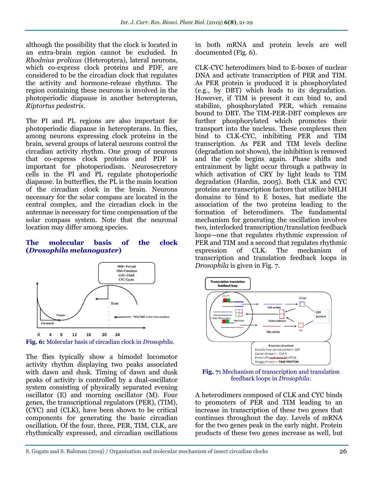although the possibility that the clock is located in an extra-brain region cannot be excluded. In *Rhodnius prolixus* (Heteroptera), lateral neurons, which co-express clock proteins and PDF, are considered to be the circadian clock that regulates the activity and hormone-release rhythms. The region containing these neurons is involved in the photoperiodic diapause in another heteropteran, *Riptortus pedestris*.

The PI and PL regions are also important for photoperiodic diapause in heteropterans. In flies, among neurons expressing clock proteins in the brain, several groups of lateral neurons control the circadian activity rhythm. One group of neurons that co-express clock proteins and PDF is important for photoperiodism. Neurosecretory cells in the PI and PL regulate photoperiodic diapause. In butterflies, the PL is the main location of the circadian clock in the brain. Neurons necessary for the solar compass are located in the central complex, and the circadian clock in the antennae is necessary for time compensation of the solar compass system. Note that the neuronal location may differ among species.

### **The molecular basis of the clock (***Drosophila melanogaster***)**



**Fig. 6:** Molecular basis of circadian clock in *Drosophila*.

The flies typically show a bimodel locomotor activity rhythm displaying two peaks associated with dawn and dusk. Timing of dawn and dusk peaks of activity is controlled by a dual-oscillator system consisting of physically separated evening oscillator (E) and morning oscillator (M). Four genes, the transcriptional regulators (PER), (TIM), (CYC) and (CLK), have been shown to be critical components for generating the basic circadian oscillation. Of the four, three, PER, TIM, CLK, are rhythmically expressed, and circadian oscillations

in both mRNA and protein levels are well documented (Fig. 6).

CLK-CYC heterodimers bind to E-boxes of nuclear DNA and activate transcription of PER and TIM. As PER protein is produced it is phosphorylated (e.g., by DBT) which leads to its degradation. However, if TIM is present it can bind to, and stabilize, phosphorylated PER, which remains bound to DBT. The TIM-PER-DBT complexes are further phosphorylated which promotes their transport into the nucleus. These complexes then bind to CLK-CYC, inhibiting PER and TIM transcription. As PER and TIM levels decline (degradation not shown), the inhibition is removed and the cycle begins again. Phase shifts and entrainment by light occur through a pathway in which activation of CRY by light leads to TIM degradation (Hardin, 2005). Both CLK and CYC proteins are transcription factors that utilize bHLH domains to bind to E boxes, hat mediate the association of the two proteins leading to the formation of heterodimers. The fundamental mechanism for generating the oscillation involves two, interlocked transcription/translation feedback loops—one that regulates rhythmic expression of PER and TIM and a second that regulates rhythmic expression of CLK. The mechanism of transcription and translation feedback loops in *Drosophila* is given in Fig. 7*.*



**Fig. 7:** Mechanism of transcription and translation feedback loops in *Drosophila.*

A heterodimers composed of CLK and CYC binds to promoters of PER and TIM leading to an increase in transcription of these two genes that continues throughout the day. Levels of mRNA for the two genes peak in the early night. Protein products of these two genes increase as well, but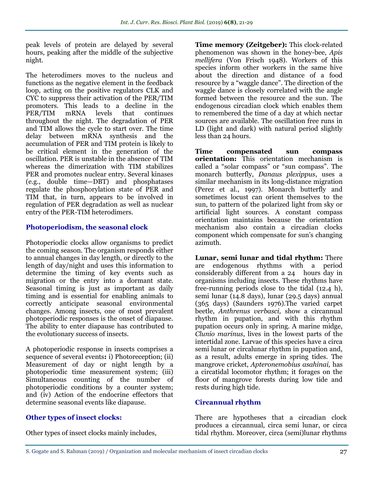peak levels of protein are delayed by several hours, peaking after the middle of the subjective night.

The heterodimers moves to the nucleus and functions as the negative element in the feedback loop, acting on the positive regulators CLK and CYC to suppress their activation of the PER/TIM promoters. This leads to a decline in the PER/TIM mRNA levels that continues throughout the night. The degradation of PER and TIM allows the cycle to start over. The time delay between mRNA synthesis and the accumulation of PER and TIM protein is likely to be critical element in the generation of the oscillation. PER is unstable in the absence of TIM whereas the dimerization with TIM stabilizes PER and promotes nuclear entry. Several kinases (e.g., double time—DBT) and phosphatases regulate the phosphorylation state of PER and TIM that, in turn, appears to be involved in regulation of PER degradation as well as nuclear entry of the PER-TIM heterodimers.

# **Photoperiodism, the seasonal clock**

Photoperiodic clocks allow organisms to predict the coming season. The organism responds either to annual changes in day length, or directly to the length of day/night and uses this information to determine the timing of key events such as migration or the entry into a dormant state. Seasonal timing is just as important as daily timing and is essential for enabling animals to correctly anticipate seasonal environmental changes. Among insects, one of most prevalent photoperiodic responses is the onset of diapause. The ability to enter diapause has contributed to the evolutionary success of insects.

A photoperiodic response in insects comprises a sequence of several events**:** i) Photoreception; (ii) Measurement of day or night length by a photoperiodic time measurement system; (iii) Simultaneous counting of the number of photoperiodic conditions by a counter system; and (iv) Action of the endocrine effectors that determine seasonal events like diapause.

# **Other types of insect clocks:**

Other types of insect clocks mainly includes,

**Time memory (Zeitgeber):** This clock-related phenomenon was shown in the honey-bee, *Apis mellifera* (Von Frisch 1948). Workers of this species inform other workers in the same hive about the direction and distance of a food resource by a "waggle dance". The direction of the waggle dance is closely correlated with the angle formed between the resource and the sun. The endogenous circadian clock which enables them to remembered the time of a day at which nectar sources are available. The oscillation free runs in LD (light and dark) with natural period slightly less than 24 hours.

**Time compensated sun compass orientation:** This orientation mechanism is called a "solar compass" or "sun compass". The monarch butterfly, *Danaus plexippus*, uses a similar mechanism in its long-distance migration (Perez et al., 1997). Monarch butterfly and sometimes locust can orient themselves to the sun, to pattern of the polarized light from sky or artificial light sources. A constant compass orientation maintains because the orientation mechanism also contain a circadian clocks component which compensate for sun's changing azimuth.

**Lunar, semi lunar and tidal rhythm:** There are endogenous rhythms with a period considerably different from a 24 hours day in organisms including insects. These rhythms have free-running periods close to the tidal (12.4 h), semi lunar (14.8 days), lunar (29.5 days) annual (365 days) (Saunders 1976).The varied carpet beetle, *Anthrenus verbasci,* show a circannual rhythm in pupation, and with this rhythm pupation occurs only in spring. A marine midge, *Clunio marinus*, lives in the lowest parts of the intertidal zone. Larvae of this species have a circa semi lunar or circalunar rhythm in pupation and, as a result, adults emerge in spring tides. The mangrove cricket, *Apteronemobius asahinai,* has a circatidal locomotor rhythm; it forages on the floor of mangrove forests during low tide and rests during high tide.

### **Circannual rhythm**

There are hypotheses that a circadian clock produces a circannual, circa semi lunar, or circa tidal rhythm. Moreover, circa (semi)lunar rhythms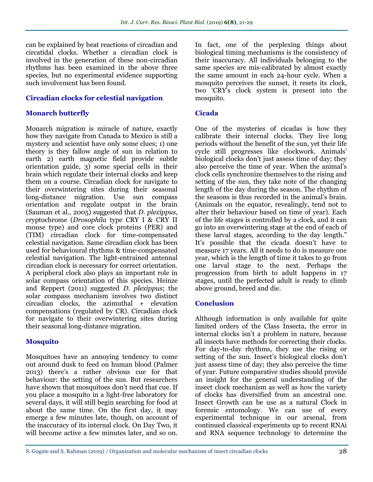can be explained by beat reactions of circadian and circatidal clocks. Whether a circadian clock is involved in the generation of these non-circadian rhythms has been examined in the above three species, but no experimental evidence supporting such involvement has been found.

# **Circadian clocks for celestial navigation**

## **Monarch butterfly**

Monarch migration is miracle of nature, exactly how they navigate from Canada to Mexico is still a mystery and scientist have only some clues; 1) one theory is they fallow angle of sun in relation to earth 2) earth magnetic field provide subtle orientation guide, 3) some special cells in their brain which regulate their internal clocks and keep them on a course. Circadian clock for navigate to their overwintering sites during their seasonal long-distance migration. Use sun compass orientation and regulate output in the brain (Sauman et al*.,* 2005) suggested that *D. plexippus*, cryptochrome (*Drosophila* type CRY I & CRY II mouse type) and core clock proteins (PER) and (TIM) circadian clock for time-compensated celestial navigation. Same circadian clock has been used for behavioural rhythms & time-compensated celestial navigation. The light-entrained antennal circadian clock is necessary for correct orientation. A peripheral clock also plays an important role in solar compass orientation of this species. Heinze and Reppert (2011) suggested *D. plexippus*; the solar compass mechanism involves two distinct circadian clocks, the azimuthal + elevation compensations (regulated by CR). Circadian clock for navigate to their overwintering sites during their seasonal long-distance migration.

# **Mosquito**

Mosquitoes have an annoying tendency to come out around dusk to feed on human blood (Palmer 2013) there's a rather obvious cue for that behaviour: the setting of the sun. But researchers have shown that mosquitoes don't need that cue. If you place a mosquito in a light-free laboratory for several days, it will still begin searching for food at about the same time. On the first day, it may emerge a few minutes late, though, on account of the inaccuracy of its internal clock. On Day Two, it will become active a few minutes later, and so on.

In fact, one of the perplexing things about biological timing mechanisms is the consistency of their inaccuracy. All individuals belonging to the same species are mis-calibrated by almost exactly the same amount in each 24-hour cycle. When a mosquito perceives the sunset, it resets its clock, two ‗CRY's clock system is present into the mosquito.

# **Cicada**

One of the mysteries of cicadas is how they calibrate their internal clocks. They live long periods without the benefit of the sun, yet their life cycle still progresses like clockwork. Animals' biological clocks don't just assess time of day; they also perceive the time of year. When the animal's clock cells synchronize themselves to the rising and setting of the sun, they take note of the changing length of the day during the season. The rhythm of the seasons is thus recorded in the animal's brain. (Animals on the equator, revealingly, tend not to alter their behaviour based on time of year). Each of the life stages is controlled by a clock, and it can go into an overwintering stage at the end of each of these larval stages, according to the day length." It's possible that the cicada doesn't have to measure 17 years. All it needs to do is measure one year, which is the length of time it takes to go from one larval stage to the next. Perhaps the progression from birth to adult happens in 17 stages, until the perfected adult is ready to climb above ground, breed and die.

# **Conclusion**

Although information is only available for quite limited orders of the Class Insecta, the error in internal clocks isn't a problem in nature, because all insects have methods for correcting their clocks. For day-to-day rhythms, they use the rising or setting of the sun. Insect's biological clocks don't just assess time of day; they also perceive the time of year. Future comparative studies should provide an insight for the general understanding of the insect clock mechanism as well as how the variety of clocks has diversified from an ancestral one. Insect Growth can be use as a natural Clock in forensic entomology. We can use of every experimental technique in our arsenal, from continued classical experiments up to recent RNAi and RNA sequence technology to determine the